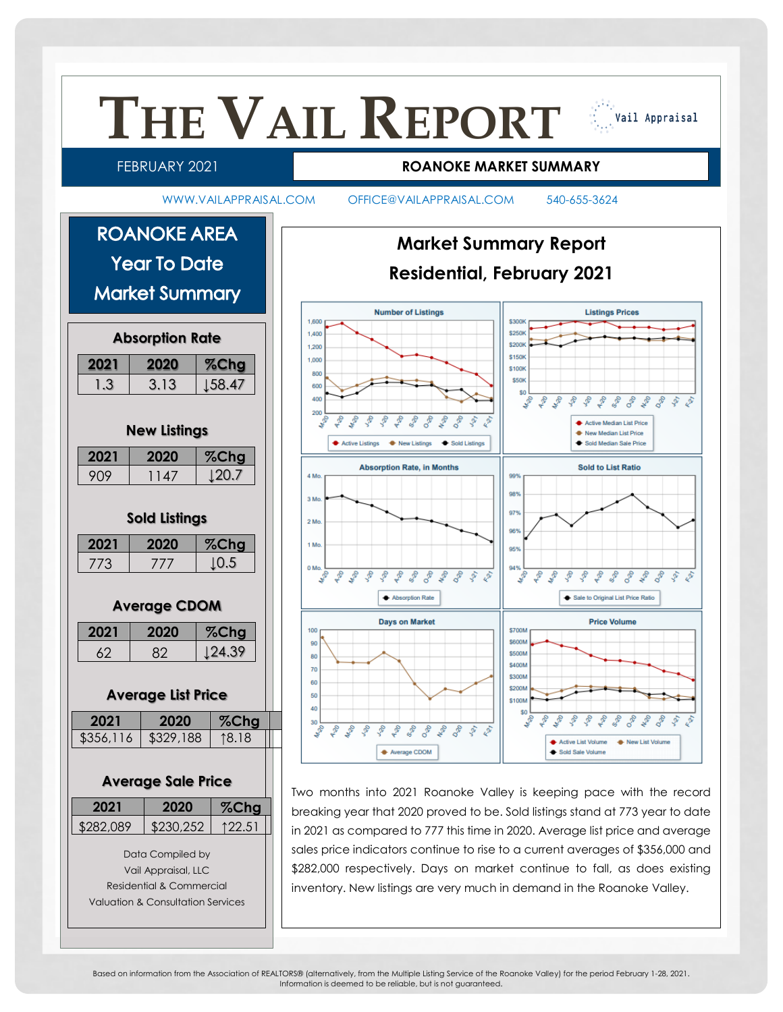

Based on information from the Association of REALTORS® (alternatively, from the Multiple Listing Service of the Roanoke Valley) for the period February 1-28, 2021. Information is deemed to be reliable, but is not guaranteed.